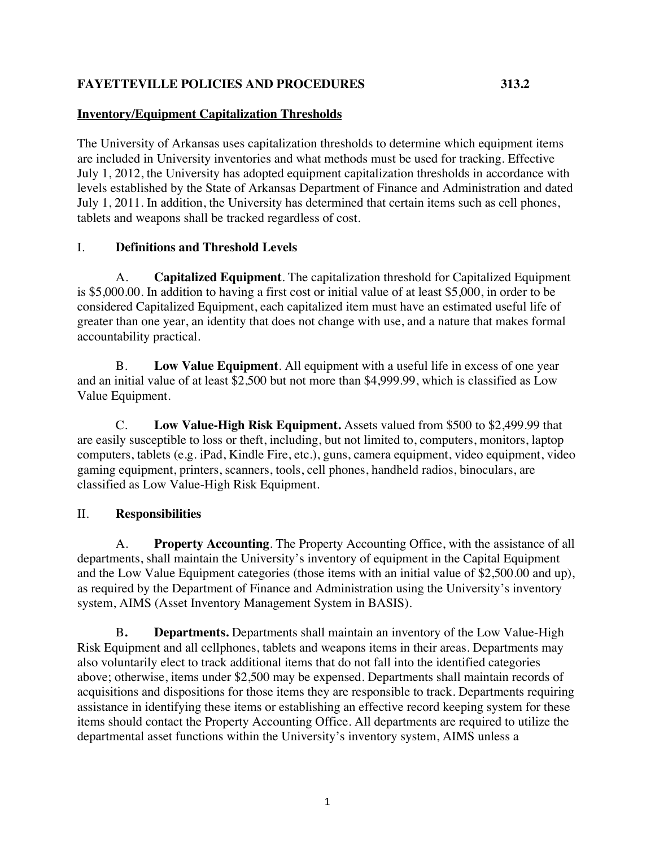## **FAYETTEVILLE POLICIES AND PROCEDURES 313.2**

## **Inventory/Equipment Capitalization Thresholds**

The University of Arkansas uses capitalization thresholds to determine which equipment items are included in University inventories and what methods must be used for tracking. Effective July 1, 2012, the University has adopted equipment capitalization thresholds in accordance with levels established by the State of Arkansas Department of Finance and Administration and dated July 1, 2011. In addition, the University has determined that certain items such as cell phones, tablets and weapons shall be tracked regardless of cost.

## I. **Definitions and Threshold Levels**

A. **Capitalized Equipment**. The capitalization threshold for Capitalized Equipment is \$5,000.00. In addition to having a first cost or initial value of at least \$5,000, in order to be considered Capitalized Equipment, each capitalized item must have an estimated useful life of greater than one year, an identity that does not change with use, and a nature that makes formal accountability practical.

B. **Low Value Equipment**. All equipment with a useful life in excess of one year and an initial value of at least \$2,500 but not more than \$4,999.99, which is classified as Low Value Equipment.

C. **Low Value-High Risk Equipment.** Assets valued from \$500 to \$2,499.99 that are easily susceptible to loss or theft, including, but not limited to, computers, monitors, laptop computers, tablets (e.g. iPad, Kindle Fire, etc.), guns, camera equipment, video equipment, video gaming equipment, printers, scanners, tools, cell phones, handheld radios, binoculars, are classified as Low Value-High Risk Equipment.

## II. **Responsibilities**

A. **Property Accounting**. The Property Accounting Office, with the assistance of all departments, shall maintain the University's inventory of equipment in the Capital Equipment and the Low Value Equipment categories (those items with an initial value of \$2,500.00 and up), as required by the Department of Finance and Administration using the University's inventory system, AIMS (Asset Inventory Management System in BASIS).

B**. Departments.** Departments shall maintain an inventory of the Low Value-High Risk Equipment and all cellphones, tablets and weapons items in their areas. Departments may also voluntarily elect to track additional items that do not fall into the identified categories above; otherwise, items under \$2,500 may be expensed. Departments shall maintain records of acquisitions and dispositions for those items they are responsible to track. Departments requiring assistance in identifying these items or establishing an effective record keeping system for these items should contact the Property Accounting Office. All departments are required to utilize the departmental asset functions within the University's inventory system, AIMS unless a